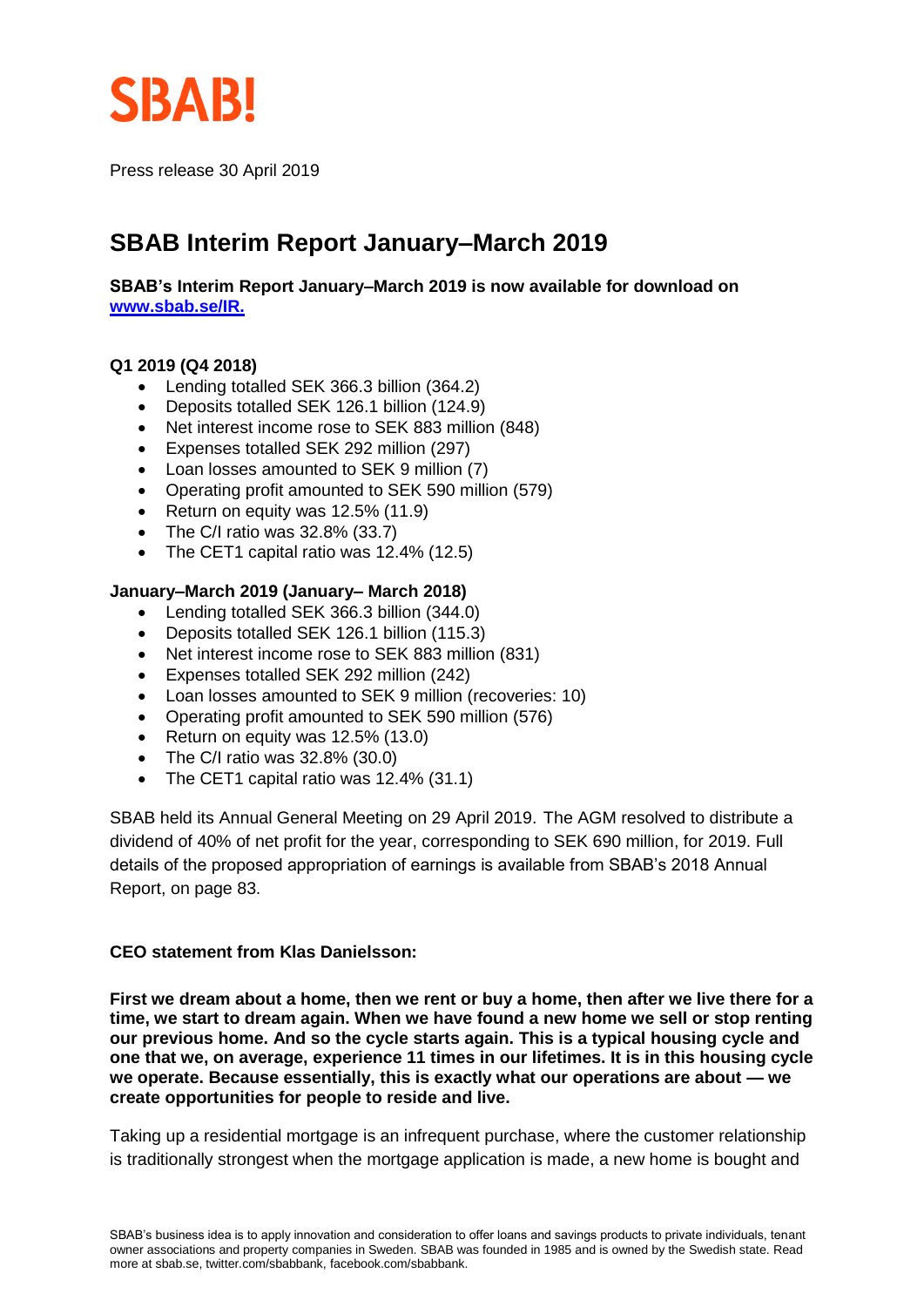

Press release 30 April 2019

# **SBAB Interim Report January–March 2019**

**SBAB's Interim Report January–March 2019 is now available for download on [www.sbab.se/IR.](https://www.sbab.se/1/in_english/investor_relations/sbab_group/financial_reports/sbab.html)**

#### **Q1 2019 (Q4 2018)**

- Lending totalled SEK 366.3 billion (364.2)
- Deposits totalled SEK 126.1 billion (124.9)
- Net interest income rose to SEK 883 million (848)
- Expenses totalled SEK 292 million (297)
- Loan losses amounted to SEK 9 million (7)
- Operating profit amounted to SEK 590 million (579)
- Return on equity was 12.5% (11.9)
- The C/I ratio was 32.8% (33.7)
- The CET1 capital ratio was 12.4% (12.5)

#### **January–March 2019 (January– March 2018)**

- Lending totalled SEK 366.3 billion (344.0)
- Deposits totalled SEK 126.1 billion (115.3)
- Net interest income rose to SEK 883 million (831)
- Expenses totalled SEK 292 million (242)
- Loan losses amounted to SEK 9 million (recoveries: 10)
- Operating profit amounted to SEK 590 million (576)
- Return on equity was 12.5% (13.0)
- The C/I ratio was 32.8% (30.0)
- The CET1 capital ratio was 12.4% (31.1)

SBAB held its Annual General Meeting on 29 April 2019. The AGM resolved to distribute a dividend of 40% of net profit for the year, corresponding to SEK 690 million, for 2019. Full details of the proposed appropriation of earnings is available from SBAB's 2018 Annual Report, on page 83.

#### **CEO statement from Klas Danielsson:**

**First we dream about a home, then we rent or buy a home, then after we live there for a time, we start to dream again. When we have found a new home we sell or stop renting our previous home. And so the cycle starts again. This is a typical housing cycle and one that we, on average, experience 11 times in our lifetimes. It is in this housing cycle we operate. Because essentially, this is exactly what our operations are about — we create opportunities for people to reside and live.**

Taking up a residential mortgage is an infrequent purchase, where the customer relationship is traditionally strongest when the mortgage application is made, a new home is bought and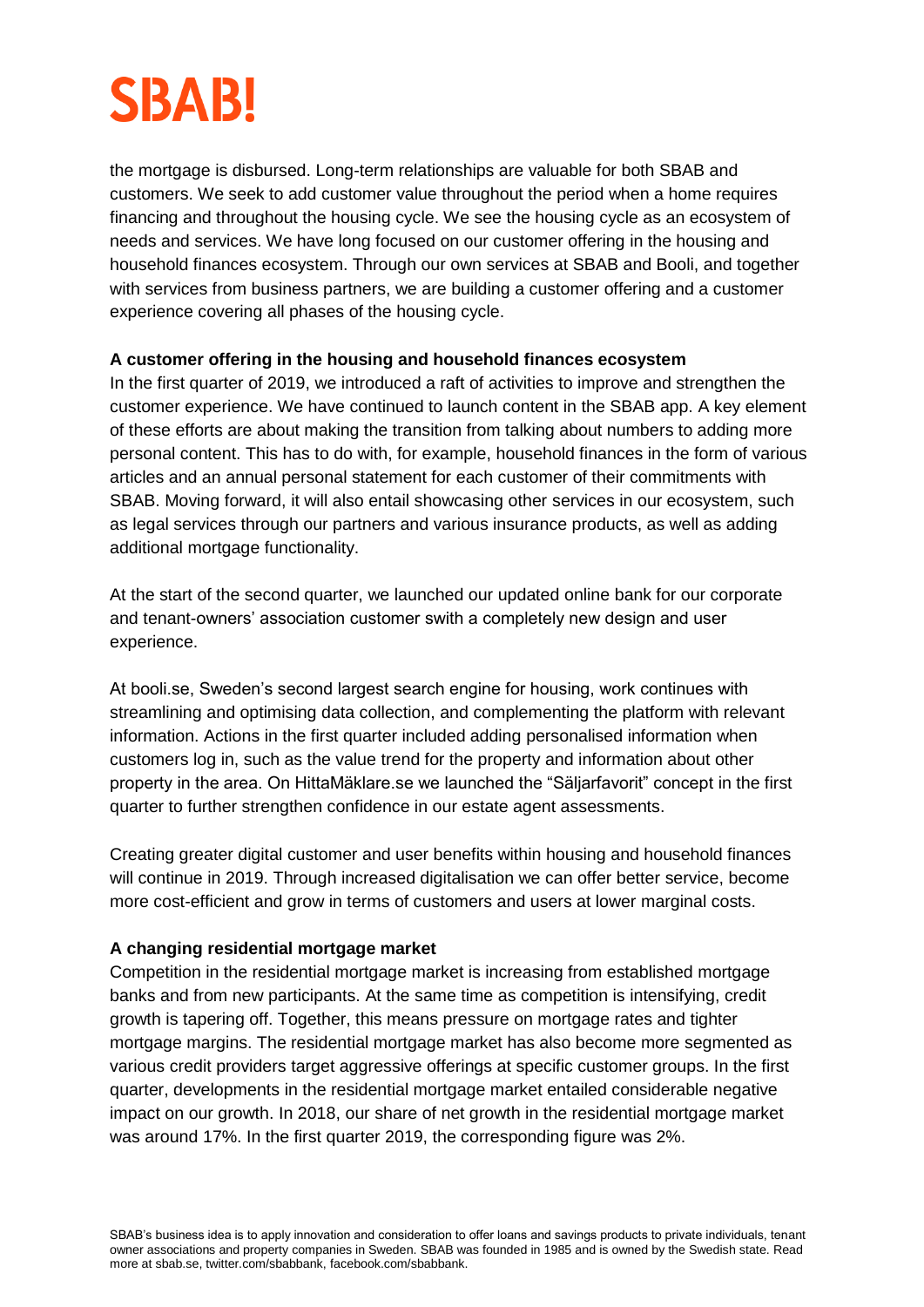

the mortgage is disbursed. Long-term relationships are valuable for both SBAB and customers. We seek to add customer value throughout the period when a home requires financing and throughout the housing cycle. We see the housing cycle as an ecosystem of needs and services. We have long focused on our customer offering in the housing and household finances ecosystem. Through our own services at SBAB and Booli, and together with services from business partners, we are building a customer offering and a customer experience covering all phases of the housing cycle.

#### **A customer offering in the housing and household finances ecosystem**

In the first quarter of 2019, we introduced a raft of activities to improve and strengthen the customer experience. We have continued to launch content in the SBAB app. A key element of these efforts are about making the transition from talking about numbers to adding more personal content. This has to do with, for example, household finances in the form of various articles and an annual personal statement for each customer of their commitments with SBAB. Moving forward, it will also entail showcasing other services in our ecosystem, such as legal services through our partners and various insurance products, as well as adding additional mortgage functionality.

At the start of the second quarter, we launched our updated online bank for our corporate and tenant-owners' association customer swith a completely new design and user experience.

At booli.se, Sweden's second largest search engine for housing, work continues with streamlining and optimising data collection, and complementing the platform with relevant information. Actions in the first quarter included adding personalised information when customers log in, such as the value trend for the property and information about other property in the area. On HittaMäklare.se we launched the "Säljarfavorit" concept in the first quarter to further strengthen confidence in our estate agent assessments.

Creating greater digital customer and user benefits within housing and household finances will continue in 2019. Through increased digitalisation we can offer better service, become more cost-efficient and grow in terms of customers and users at lower marginal costs.

#### **A changing residential mortgage market**

Competition in the residential mortgage market is increasing from established mortgage banks and from new participants. At the same time as competition is intensifying, credit growth is tapering off. Together, this means pressure on mortgage rates and tighter mortgage margins. The residential mortgage market has also become more segmented as various credit providers target aggressive offerings at specific customer groups. In the first quarter, developments in the residential mortgage market entailed considerable negative impact on our growth. In 2018, our share of net growth in the residential mortgage market was around 17%. In the first quarter 2019, the corresponding figure was 2%.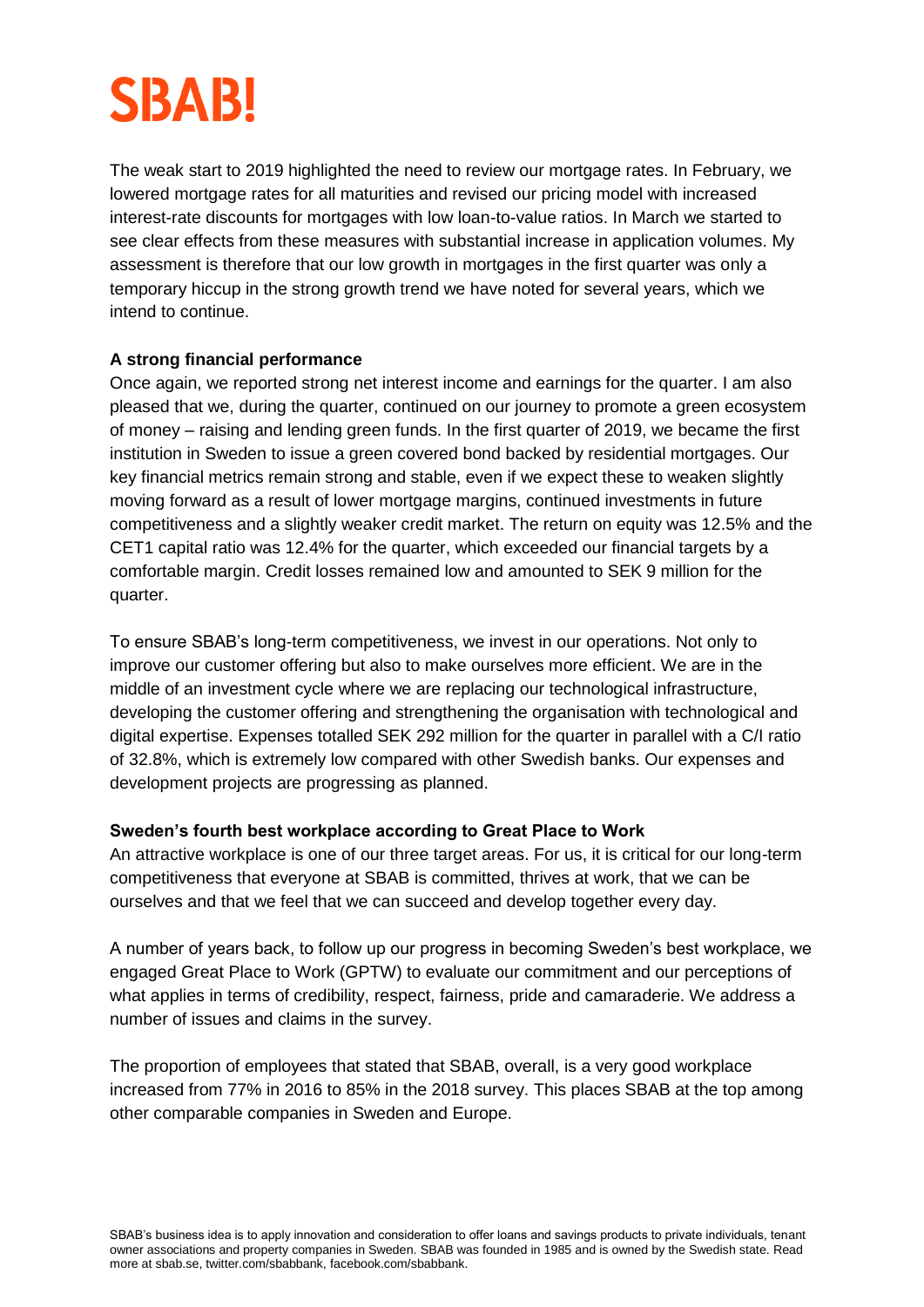# **SBAB!**

The weak start to 2019 highlighted the need to review our mortgage rates. In February, we lowered mortgage rates for all maturities and revised our pricing model with increased interest-rate discounts for mortgages with low loan-to-value ratios. In March we started to see clear effects from these measures with substantial increase in application volumes. My assessment is therefore that our low growth in mortgages in the first quarter was only a temporary hiccup in the strong growth trend we have noted for several years, which we intend to continue.

## **A strong financial performance**

Once again, we reported strong net interest income and earnings for the quarter. I am also pleased that we, during the quarter, continued on our journey to promote a green ecosystem of money – raising and lending green funds. In the first quarter of 2019, we became the first institution in Sweden to issue a green covered bond backed by residential mortgages. Our key financial metrics remain strong and stable, even if we expect these to weaken slightly moving forward as a result of lower mortgage margins, continued investments in future competitiveness and a slightly weaker credit market. The return on equity was 12.5% and the CET1 capital ratio was 12.4% for the quarter, which exceeded our financial targets by a comfortable margin. Credit losses remained low and amounted to SEK 9 million for the quarter.

To ensure SBAB's long-term competitiveness, we invest in our operations. Not only to improve our customer offering but also to make ourselves more efficient. We are in the middle of an investment cycle where we are replacing our technological infrastructure, developing the customer offering and strengthening the organisation with technological and digital expertise. Expenses totalled SEK 292 million for the quarter in parallel with a C/I ratio of 32.8%, which is extremely low compared with other Swedish banks. Our expenses and development projects are progressing as planned.

### **Sweden's fourth best workplace according to Great Place to Work**

An attractive workplace is one of our three target areas. For us, it is critical for our long-term competitiveness that everyone at SBAB is committed, thrives at work, that we can be ourselves and that we feel that we can succeed and develop together every day.

A number of years back, to follow up our progress in becoming Sweden's best workplace, we engaged Great Place to Work (GPTW) to evaluate our commitment and our perceptions of what applies in terms of credibility, respect, fairness, pride and camaraderie. We address a number of issues and claims in the survey.

The proportion of employees that stated that SBAB, overall, is a very good workplace increased from 77% in 2016 to 85% in the 2018 survey. This places SBAB at the top among other comparable companies in Sweden and Europe.